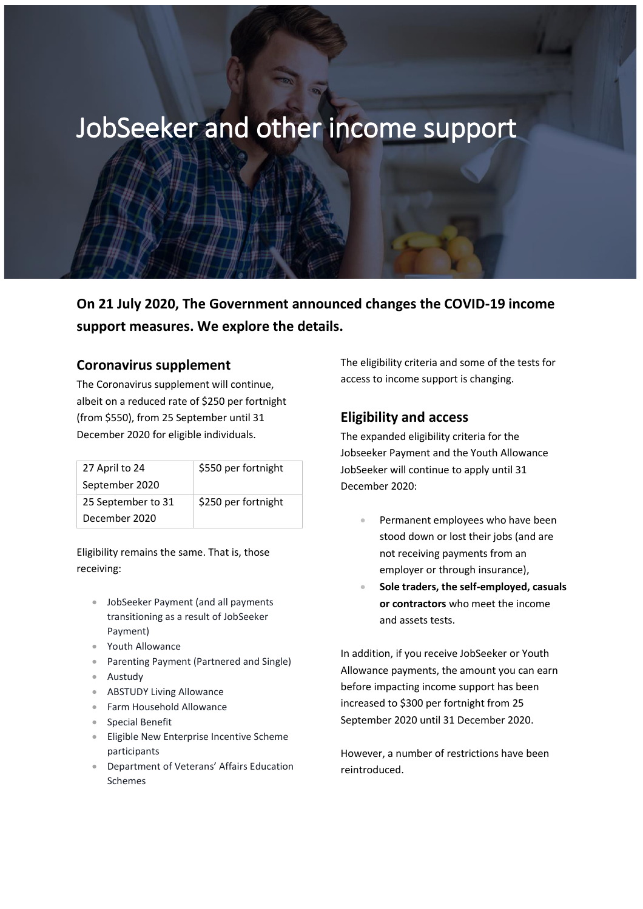# JobSeeker and other income support

**On 21 July 2020, The Government announced changes the COVID-19 income support measures. We explore the details.**

### **Coronavirus supplement**

The Coronavirus supplement will continue, albeit on a reduced rate of \$250 per fortnight (from \$550), from 25 September until 31 December 2020 for eligible individuals.

| 27 April to 24     | \$550 per fortnight |
|--------------------|---------------------|
| September 2020     |                     |
| 25 September to 31 | \$250 per fortnight |
| December 2020      |                     |

Eligibility remains the same. That is, those receiving:

- JobSeeker Payment (and all payments transitioning as a result of JobSeeker Payment)
- Youth Allowance
- Parenting Payment (Partnered and Single)
- Austudy
- ABSTUDY Living Allowance
- Farm Household Allowance
- Special Benefit
- **Eligible New Enterprise Incentive Scheme** participants
- Department of Veterans' Affairs Education Schemes

The eligibility criteria and some of the tests for access to income support is changing.

## **Eligibility and access**

The expanded eligibility criteria for the Jobseeker Payment and the Youth Allowance JobSeeker will continue to apply until 31 December 2020:

- Permanent employees who have been stood down or lost their jobs (and are not receiving payments from an employer or through insurance),
- **Sole traders, the self-employed, casuals or contractors** who meet the income and assets tests.

In addition, if you receive JobSeeker or Youth Allowance payments, the amount you can earn before impacting income support has been increased to \$300 per fortnight from 25 September 2020 until 31 December 2020.

However, a number of restrictions have been reintroduced.